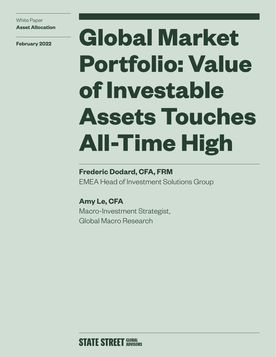White Paper **Asset Allocation**

# **February 2022 Global Market Portfolio: Value of Investable Assets Touches All-Time High**

### **Frederic Dodard, CFA, FRM**

EMEA Head of Investment Solutions Group

**Amy Le, CFA** Macro-Investment Strategist, Global Macro Research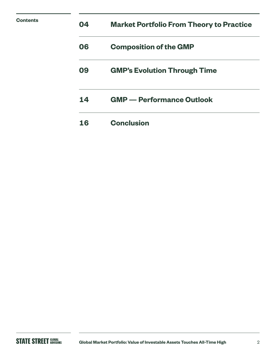| <b>Contents</b> | 04 | <b>Market Portfolio From Theory to Practice</b> |
|-----------------|----|-------------------------------------------------|
|                 | 06 | <b>Composition of the GMP</b>                   |
|                 | 09 | <b>GMP's Evolution Through Time</b>             |
|                 | 14 | <b>GMP</b> — Performance Outlook                |
|                 | 16 | <b>Conclusion</b>                               |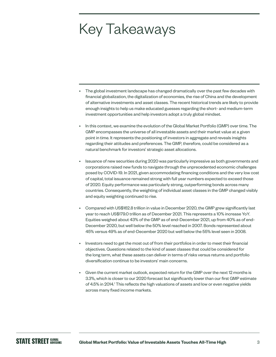### Key Takeaways

- The global investment landscape has changed dramatically over the past few decades with financial globalization, the digitalization of economies, the rise of China and the development of alternative investments and asset classes. The recent historical trends are likely to provide enough insights to help us make educated guesses regarding the short- and medium-term investment opportunities and help investors adopt a truly global mindset.
- In this context, we examine the evolution of the Global Market Portfolio (GMP) over time. The GMP encompasses the universe of all investable assets and their market value at a given point in time. It represents the positioning of investors in aggregate and reveals insights regarding their attitudes and preferences. The GMP, therefore, could be considered as a natural benchmark for investors' strategic asset allocations.
- Issuance of new securities during 2020 was particularly impressive as both governments and corporations raised new funds to navigate through the unprecedented economic challenges posed by COVID-19. In 2021, given accommodating financing conditions and the very low cost of capital, total issuance remained strong with full year numbers expected to exceed those of 2020. Equity performance was particularly strong, outperforming bonds across many countries. Consequently, the weighting of individual asset classes in the GMP changed visibly and equity weighting continued to rise.
- Compared with US\$162.8 trillion in value in December 2020, the GMP grew significantly last year to reach US\$179.0 trillion as of December 2021. This represents a 10% increase YoY. Equities weighed about 43% of the GMP as of end-December 2021, up from 40% as of end-December 2020, but well below the 50% level reached in 2007. Bonds represented about 45% versus 49% as of end-December 2020 but well below the 55% level seen in 2008.
- Investors need to get the most out of from their portfolios in order to meet their financial objectives. Questions related to the kind of asset classes that could be considered for the long term, what these assets can deliver in terms of risks versus returns and portfolio diversification continue to be investors' main concerns.
- Given the current market outlook, expected return for the GMP over the next 12 months is 3.3%, which is closer to our 2020 forecast but significantly lower than our first GMP estimate of 4.5% in 2014.<sup>1</sup> This reflects the high valuations of assets and low or even negative yields across many fixed income markets.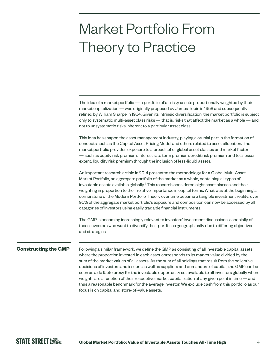### Market Portfolio From Theory to Practice

The idea of a market portfolio — a portfolio of all risky assets proportionally weighted by their market capitalization — was originally proposed by James Tobin in 1958 and subsequently refined by William Sharpe in 1964. Given its intrinsic diversification, the market portfolio is subject only to systematic multi-asset class risks — that is, risks that affect the market as a whole — and not to unsystematic risks inherent to a particular asset class.

This idea has shaped the asset management industry, playing a crucial part in the formation of concepts such as the Capital Asset Pricing Model and others related to asset allocation. The market portfolio provides exposure to a broad set of global asset classes and market factors — such as equity risk premium, interest rate term premium, credit risk premium and to a lesser extent, liquidity risk premium through the inclusion of less-liquid assets.

An important research article in 2014 presented the methodology for a Global Multi-Asset Market Portfolio, an aggregate portfolio of the market as a whole, containing all types of investable assets available globally. $2$  This research considered eight asset classes and their weighting in proportion to their relative importance in capital terms. What was at the beginning a cornerstone of the Modern Portfolio Theory over time became a tangible investment reality: over 90% of the aggregate market portfolio's exposure and composition can now be accessed by all categories of investors using easily tradable financial instruments.

The GMP is becoming increasingly relevant to investors' investment discussions, especially of those investors who want to diversify their portfolios geographically due to differing objectives and strategies.

#### **Constructing the GMP**

Following a similar framework, we define the GMP as consisting of all investable capital assets, where the proportion invested in each asset corresponds to its market value divided by the sum of the market values of all assets. As the sum of all holdings that result from the collective decisions of investors and issuers as well as suppliers and demanders of capital, the GMP can be seen as a de facto proxy for the investable opportunity set available to all investors globally where weights are a function of their respective market capitalization at any given point in time — and thus a reasonable benchmark for the average investor. We exclude cash from this portfolio as our focus is on capital and store-of-value assets.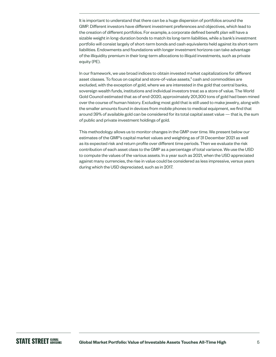It is important to understand that there can be a huge dispersion of portfolios around the GMP. Different investors have different investment preferences and objectives, which lead to the creation of different portfolios. For example, a corporate defined benefit plan will have a sizable weight in long-duration bonds to match its long-term liabilities, while a bank's investment portfolio will consist largely of short-term bonds and cash equivalents held against its short-term liabilities. Endowments and foundations with longer investment horizons can take advantage of the illiquidity premium in their long-term allocations to illiquid investments, such as private equity (PE).

In our framework, we use broad indices to obtain invested market capitalizations for different asset classes. To focus on capital and store-of-value assets,<sup>3</sup> cash and commodities are excluded, with the exception of gold, where we are interested in the gold that central banks, sovereign wealth funds, institutions and individual investors treat as a store of value. The World Gold Council estimated that as of end-2020, approximately 201,300 tons of gold had been mined over the course of human history. Excluding most gold that is still used to make jewelry, along with the smaller amounts found in devices from mobile phones to medical equipment, we find that around 39% of available gold can be considered for its total capital asset value — that is, the sum of public and private investment holdings of gold.

This methodology allows us to monitor changes in the GMP over time. We present below our estimates of the GMP's capital market values and weighting as of 31 December 2021 as well as its expected risk and return profile over different time periods. Then we evaluate the risk contribution of each asset class to the GMP as a percentage of total variance. We use the USD to compute the values of the various assets. In a year such as 2021, when the USD appreciated against many currencies, the rise in value could be considered as less impressive, versus years during which the USD depreciated, such as in 2017.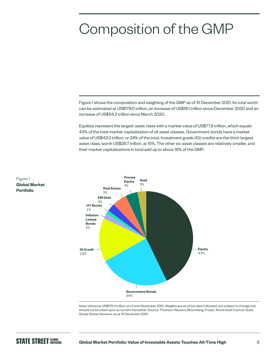### Composition of the GMP

Figure 1 shows the composition and weighting of the GMP as of 31 December 2021. Its total worth can be estimated at US\$179.0 trillion, an increase of US\$16.1 trillion since December 2020 and an increase of US\$54.2 trillion since March 2020.

Equities represent the largest asset class with a market value of US\$77.8 trillion, which equals 43% of the total market capitalization of all asset classes. Government bonds have a market value of US\$43.0 trillion, or 24% of the total. Investment grade (IG) credits are the third-largest asset class, worth US\$26.7 trillion, at 15%. The other six asset classes are relatively smaller, and their market capitalizations in total add up to about 18% of the GMP.





Figure 1 **Global Market Portfolio**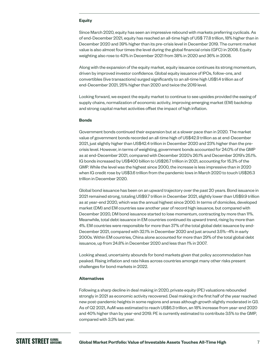#### **Equity**

Since March 2020, equity has seen an impressive rebound with markets preferring cyclicals. As of end-December 2021, equity has reached an all-time high of US\$ 77.8 trillion, 18% higher than in December 2020 and 39% higher than its pre-crisis level in December 2019. The current market value is also almost four times the level during the global financial crisis (GFC) in 2008. Equity weighting also rose to 43% in December 2021 from 38% in 2020 and 36% in 2008.

Along with the expansion of the equity market, equity issuance continues its strong momentum, driven by improved investor confidence. Global equity issuance of IPOs, follow-ons, and convertibles (live transactions) surged significantly to an all-time high US\$1.4 trillion as of end-December 2021, 25% higher than 2020 and twice the 2019 level.

Looking forward, we expect the equity market to continue to see upsides provided the easing of supply chains, normalization of economic activity, improving emerging market (EM) backdrop and strong capital market activities offset the impact of high inflation.

#### **Bonds**

Government bonds continued their expansion but at a slower pace than in 2020. The market value of government bonds recorded an all-time high of US\$42.9 trillion as at end-December 2021, just slightly higher than US\$42.4 trillion in December 2020 and 23% higher than the precrisis level. However, in terms of weighting, government bonds accounted for 24.0% of the GMP as at end-December 2021, compared with December 2020's 26.1% and December 2019's 25.1%. IG bonds increased by US\$400 billion to US\$26.7 trillion in 2021, accounting for 15.3% of the GMP. While the level was the highest since 2000, the increase is less impressive than in 2020 when IG credit rose by US\$3.6 trillion from the pandemic lows in March 2020 to touch US\$26.3 trillion in December 2020.

Global bond issuance has been on an upward trajectory over the past 20 years. Bond issuance in 2021 remained strong, totaling US\$9.7 trillion in December 2021, slightly lower than US\$9.9 trillion as at year-end 2020, which was the annual highest since 2000. In terms of domiciles, developed market (DM) and EM countries saw another year of record high issuance, but compared with December 2020, DM bond issuance started to lose momentum, contracting by more than 11%. Meanwhile, total debt issuance in EM countries continued its upward trend, rising by more than 4%. EM countries were responsible for more than 37% of the total global debt issuance by end-December 2021, compared with 32.1% in December 2020 and just around 3.5%–4% in early 2000s. Within EM countries, China alone accounted for more than 29% of the total global debt issuance, up from 24.8% in December 2020 and less than 1% in 2007.

Looking ahead, uncertainty abounds for bond markets given that policy accommodation has peaked. Rising inflation and rate hikes across countries amongst many other risks present challenges for bond markets in 2022.

#### **Alternatives**

Following a sharp decline in deal making in 2020, private equity (PE) valuations rebounded strongly in 2021 as economic activity recovered. Deal making in the first half of the year reached new post-pandemic heights in some regions and areas although growth slightly moderated in Q3. As of Q2 2021, AuM was estimated to reach US\$6.3 trillion, an 18% increase from year-end 2020 and 40% higher than by year-end 2019. PE is currently estimated to contribute 3.5% to the GMP, compared with 3.3% last year.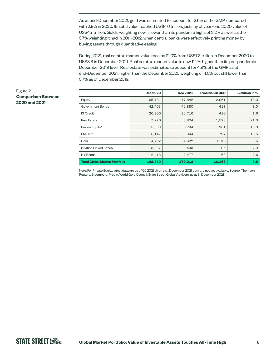As at end-December 2021, gold was estimated to account for 2.6% of the GMP, compared with 2.9% in 2020. Its total value reached US\$4.6 trillion, just shy of year-end 2020 value of US\$4.7 trillion. Gold's weighting now is lower than its pandemic highs of 3.2% as well as the 3.7% weighting it had in 2011–2012, when central banks were effectively printing money by buying assets through quantitative easing.

During 2021, real estate's market value rose by 21.0% from US\$7.3 trillion in December 2020 to US\$8.8 in December 2021. Real estate's market value is now 11.2% higher than its pre-pandemic December 2019 level. Real estate was estimated to account for 4.9% of the GMP as at end-December 2021, higher than the December 2020 weighting of 4.5% but still lower than 5.7% as of December 2019.

#### Figure 2 **Comparison Between 2020 and 2021**

|                                      | Dec 2020 | Dec 2021 | <b>Evolution in USD</b> | <b>Evolution in %</b> |
|--------------------------------------|----------|----------|-------------------------|-----------------------|
| Equity                               | 65,781   | 77,842   | 12,061                  | 18.3                  |
| Government Bonds                     | 42,463   | 42,880   | 417                     | 1.0                   |
| IG Credit                            | 26,306   | 26,716   | 410                     | 1.6                   |
| <b>Real Estate</b>                   | 7,276    | 8,804    | 1,528                   | 21.0                  |
| Private Equity*                      | 5,333    | 6,294    | 961                     | 18.0                  |
| <b>EM Debt</b>                       | 5,147    | 5,944    | 797                     | 15.5                  |
| Gold                                 | 4,792    | 4,622    | (170)                   | $-3.5$                |
| Inflation Linked Bonds               | 3,337    | 3,433    | 96                      | 2.9                   |
| <b>HY Bonds</b>                      | 2,413    | 2,477    | 63                      | 2.6                   |
| <b>Total Global Market Portfolio</b> | 162,850  | 179,012  | 16,163                  | 9.9                   |

Note: For Private Equity, latest data are as of Q2 2021 given that December 2021 data are not yet available. Source: Thomson Reuters, Bloomberg, Preqin, World Gold Council, State Street Global Advisors, as at 31 December 2021.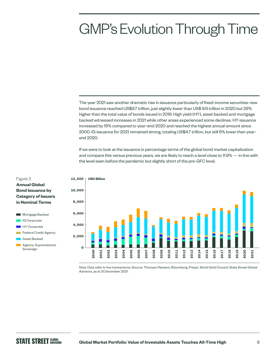### GMP's Evolution Through Time

The year 2021 saw another dramatic rise in issuance particularly of fixed-income securities: new bond issuance reached US\$9.7 trillion, just slightly lower than US\$ 9.9 trillion in 2020 but 29% higher than the total value of bonds issued in 2019. High yield (HY), asset backed and mortgage backed witnessed increases in 2021 while other areas experienced some declines. HY issuance increased by 16% compared to year-end 2020 and reached the highest annual amount since 2000. IG issuance for 2021 remained strong, totaling US\$4.7 trillion, but still 6% lower than yearend 2020.

If we were to look at the issuance in percentage terms of the global bond market capitalization and compare this versus previous years, we are likely to reach a level close to 11.9% — in line with the level seen before the pandemic but slightly short of the pre-GFC level.



#### Figure 3 **Annual Global**

- **Bond Issuance by Category of Issuers in Nominal Terms**
- **Mortgage Backed IG Corporate**
- **HY** Corporate
- Federal Credit Agency

**Agency, Supranational,** Sovereign

> Note: Data refer to live transactions. Source: Thomson Reuters, Bloomberg, Preqin, World Gold Council, State Street Global Advisors, as at 31 December 2021.

Asset Backed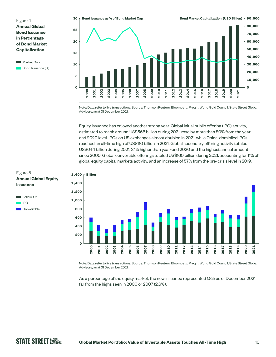Figure 4 **Annual Global Bond Issuance in Percentage of Bond Market Capitalization**





Note: Data refer to live transactions. Source: Thomson Reuters, Bloomberg, Preqin, World Gold Council, State Street Global Advisors, as at 31 December 2021.

Equity issuance has enjoyed another strong year. Global initial public offering (IPO) activity, estimated to reach around US\$566 billion during 2021, rose by more than 80% from the yearend 2020 level. IPOs on US exchanges almost doubled in 2021, while China-domiciled IPOs reached an all-time high of US\$110 billion in 2021. Global secondary offering activity totaled US\$644 billion during 2021, 3.1% higher than year-end 2020 and the highest annual amount since 2000. Global convertible offerings totaled US\$160 billion during 2021, accounting for 11% of global equity capital markets activity, and an increase of 57% from the pre-crisis level in 2019.



Note: Data refer to live transactions. Source: Thomson Reuters, Bloomberg, Preqin, World Gold Council, State Street Global Advisors, as at 31 December 2021.

As a percentage of the equity market, the new issuance represented 1.8% as of December 2021, far from the highs seen in 2000 or 2007 (2.6%).

#### Figure 5 **Annual Global Equity Issuance**

Follow-On  $\blacksquare$ **Convertible**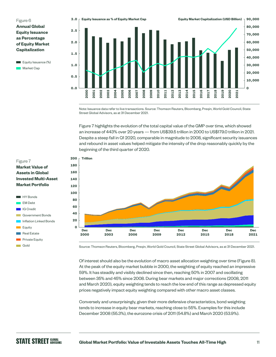Figure 6 **Annual Global Equity Issuance as Percentage of Equity Market Capitalization**





Note: Issuance data refer to live transactions. Source: Thomson Reuters, Bloomberg, Preqin, World Gold Council, State Street Global Advisors, as at 31 December 2021.

Figure 7 highlights the evolution of the total capital value of the GMP over time, which showed an increase of 443% over 20 years — from US\$39.5 trillion in 2000 to US\$179.0 trillion in 2021. Despite a steep fall in Q1 2020, comparable in magnitude to 2008, significant security issuances and rebound in asset values helped mitigate the intensity of the drop reasonably quickly by the beginning of the third quarter of 2020.



#### Figure 7 **Market Value of Assets in Global Invested Multi-Asset Market Portfolio**



Source: Thomson Reuters, Bloomberg, Preqin, World Gold Council, State Street Global Advisors, as at 31 December 2021.

Of interest should also be the evolution of macro asset allocation weighting over time (Figure 8). At the peak of the equity market bubble in 2000, the weighting of equity reached an impressive 59%. It has steadily and visibly declined since then, reaching 50% in 2007 and oscillating between 35% and 45% since 2008. During bear markets and major corrections (2008, 2011 and March 2020), equity weighting tends to reach the low end of this range as depressed equity prices negatively impact equity weighting compared with other macro asset classes.

Conversely and unsurprisingly, given their more defensive characteristics, bond weighting tends to increase in equity bear markets, reaching close to 55%. Examples for this include December 2008 (55.3%), the eurozone crisis of 2011 (54.8%) and March 2020 (53.9%).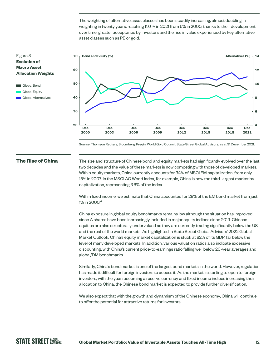The weighting of alternative asset classes has been steadily increasing, almost doubling in weighting in twenty years, reaching 11.0 % in 2021 from 6% in 2000, thanks to their development over time, greater acceptance by investors and the rise in value experienced by key alternative asset classes such as PE or gold.

#### Figure 8 **Evolution of Macro Asset Allocation Weights**





Source: Thomson Reuters, Bloomberg, Preqin, World Gold Council, State Street Global Advisors, as at 31 December 2021.

#### **The Rise of China**

The size and structure of Chinese bond and equity markets had significantly evolved over the last two decades and the value of these markets is now competing with those of developed markets. Within equity markets, China currently accounts for 34% of MSCI EM capitalization, from only 15% in 2007. In the MSCI AC World Index, for example, China is now the third-largest market by capitalization, representing 3.6% of the index.

Within fixed income, we estimate that China accounted for 28% of the EM bond market from just 1% in 2000.4

China exposure in global equity benchmarks remains low although the situation has improved since A shares have been increasingly included in major equity indices since 2019. Chinese equities are also structurally undervalued as they are currently trading significantly below the US and the rest of the world markets. As highlighted in State Street Global Advisors' 2022 Global Market Outlook, China's equity market capitalization is stuck at 82% of its GDP, far below the level of many developed markets. In addition, various valuation ratios also indicate excessive discounting, with China's current price-to-earnings ratio falling well below 20-year averages and global/DM benchmarks.

Similarly, China's bond market is one of the largest bond markets in the world. However, regulation has made it difficult for foreign investors to access it. As the market is starting to open to foreign investors, with the yuan becoming a reserve currency and fixed income indices increasing their allocation to China, the Chinese bond market is expected to provide further diversification.

We also expect that with the growth and dynamism of the Chinese economy, China will continue to offer the potential for attractive returns for investors.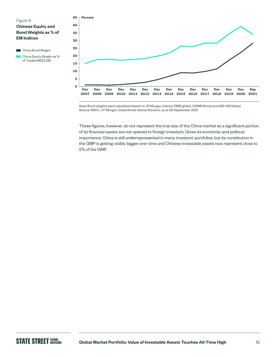



Note: Bond weights were calculated based on JP Morgan indices: EMBI global, CEMBI Broad and GBI-EM Global. Source: MSCI, J.P. Morgan, State Street Global Advisors, as at 30 September 2021.

These figures, however, do not represent the true size of the China market as a significant portion of its financial assets are not opened to foreign investors. Given its economic and political importance, China is still underrepresented in many investors' portfolios, but its constitution in the GMP is getting visibly bigger over time and Chinese investable assets now represent close to 2% of the GMP.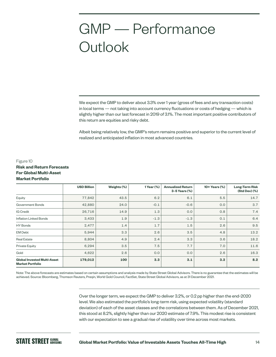## GMP — Performance **Outlook**

We expect the GMP to deliver about 3.3% over 1 year (gross of fees and any transaction costs) in local terms — not taking into account currency fluctuations or costs of hedging — which is slightly higher than our last forecast in 2019 of 3.1%. The most important positive contributors of this return are equities and risky debt.

Albeit being relatively low, the GMP's return remains positive and superior to the current level of realized and anticipated inflation in most advanced countries.

#### Figure 10 **Risk and Return Forecasts For Global Multi-Asset Market Portfolio**

|                                                               | <b>USD Billion</b> | Weights (%) | 1 Year (%) | <b>Annualized Return</b><br>$3-5$ Years $(\%)$ | 10+ Years (%) | <b>Long-Term Risk</b><br>(Std Dev) (%) |
|---------------------------------------------------------------|--------------------|-------------|------------|------------------------------------------------|---------------|----------------------------------------|
| Equity                                                        | 77,842             | 43.5        | 6.2        | 6.1                                            | 5.5           | 14.7                                   |
| Government Bonds                                              | 42,880             | 24.0        | $-0.1$     | $-0.6$                                         | 0.0           | 3.7                                    |
| IG Credit                                                     | 26,716             | 14.9        | 1.3        | 0.0                                            | 0.8           | 7.4                                    |
| <b>Inflation Linked Bonds</b>                                 | 3,433              | 1.9         | $-1.3$     | $-1.3$                                         | 0.1           | 6.4                                    |
| HY Bonds                                                      | 2,477              | 1.4         | 1.7        | 1.5                                            | 2.6           | 9.5                                    |
| <b>EM Debt</b>                                                | 5,944              | 3.3         | 2.6        | 3.5                                            | 4.8           | 13.2                                   |
| <b>Real Estate</b>                                            | 8,804              | 4.9         | 2.4        | 3.3                                            | 3.6           | 18.2                                   |
| Private Equity                                                | 6,294              | 3.5         | 7.5        | 7.7                                            | 7.0           | 11.6                                   |
| Gold                                                          | 4,622              | 2.6         | 0.0        | 0.0                                            | 2.6           | 16.3                                   |
| <b>Global Invested Multi-Asset</b><br><b>Market Portfolio</b> | 179,012            | 100         | 3.3        | 3.1                                            | 3.2           | 8.2                                    |

Note: The above forecasts are estimates based on certain assumptions and analysis made by State Street Global Advisors. There is no guarantee that the estimates will be achieved. Source: Bloomberg, Thomson Reuters, Preqin, World Gold Council, FactSet, State Street Global Advisors, as at 31 December 2021.

> Over the longer term, we expect the GMP to deliver 3.2%, or 0.2 pp higher than the end-2020 level. We also estimated the portfolio's long-term risk, using expected volatility (standard deviation) of each of the asset classes and the correlations between them. As of December 2021, this stood at 8.2%, slightly higher than our 2020 estimate of 7.9%. This modest rise is consistent with our expectation to see a gradual rise of volatility over time across most markets.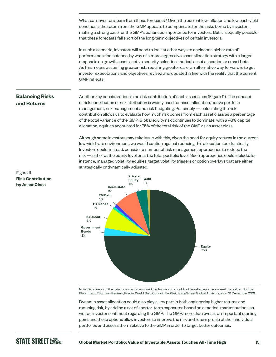What can investors learn from these forecasts? Given the current low inflation and low cash yield conditions, the return from the GMP appears to compensate for the risks borne by investors, making a strong case for the GMP's continued importance for investors. But it is equally possible that these forecasts fall short of the long-term objectives of certain investors.

In such a scenario, investors will need to look at other ways to engineer a higher rate of performance: for instance, by way of a more aggressive asset allocation strategy with a larger emphasis on growth assets, active security selection, tactical asset allocation or smart beta. As this means assuming greater risk, requiring greater care, an alternative way forward is to get investor expectations and objectives revised and updated in line with the reality that the current GMP reflects.

#### **Balancing Risks and Returns**

Another key consideration is the risk contribution of each asset class (Figure 11). The concept of risk contribution or risk attribution is widely used for asset allocation, active portfolio management, risk management and risk budgeting. Put simply — calculating the risk contribution allows us to evaluate how much risk comes from each asset class as a percentage of the total variance of the GMP. Global equity risk continues to dominate: with a 43% capital allocation, equities accounted for 75% of the total risk of the GMP as an asset class.

Although some investors may take issue with this, given the need for equity returns in the current low-yield rate environment, we would caution against reducing this allocation too drastically. Investors could, instead, consider a number of risk management approaches to reduce the risk — either at the equity level or at the total portfolio level. Such approaches could include, for instance, managed volatility equities, target volatility triggers or option overlays that are either strategically or dynamically adjusted.



Note: Data are as of the date indicated, are subject to change and should not be relied upon as current thereafter. Source: Bloomberg, Thomson Reuters, Preqin, World Gold Council, FactSet, State Street Global Advisors, as at 31 December 2021.

Dynamic asset allocation could also play a key part in both engineering higher returns and reducing risk, by adding a set of shorter-term exposures based on a tactical market outlook as well as investor sentiment regarding the GMP. The GMP, more than ever, is an important starting point and these options allow investors to improve the risk and return profile of their individual portfolios and assess them relative to the GMP in order to target better outcomes.

#### Figure 11 **Risk Contribution by Asset Class**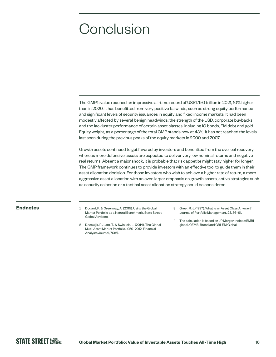### **Conclusion**

The GMP's value reached an impressive all-time record of US\$179.0 trillion in 2021, 10% higher than in 2020. It has benefitted from very positive tailwinds, such as strong equity performance and significant levels of security issuances in equity and fixed income markets. It had been modestly affected by several benign headwinds: the strength of the USD, corporate buybacks and the lackluster performance of certain asset classes, including IG bonds, EM debt and gold. Equity weight, as a percentage of the total GMP stands now at 43%. It has not reached the levels last seen during the previous peaks of the equity markets in 2000 and 2007.

Growth assets continued to get favored by investors and benefitted from the cyclical recovery, whereas more defensive assets are expected to deliver very low nominal returns and negative real returns. Absent a major shock, it is probable that risk appetite might stay higher for longer. The GMP framework continues to provide investors with an effective tool to guide them in their asset allocation decision. For those investors who wish to achieve a higher rate of return, a more aggressive asset allocation with an even larger emphasis on growth assets, active strategies such as security selection or a tactical asset allocation strategy could be considered.

- **Endnotes** 1 Dodard, F., & Greenway, A. (2015). Using the Global Market Portfolio as a Natural Benchmark. State Street Global Advisors.
	- 2 Doeswijk, R., Lam, T., & Swinkels, L. (2014). The Global Multi-Asset Market Portfolio, 1959–2012. Financial Analysts Journal, 70(2).
- 3 Greer, R. J. (1997). What Is an Asset Class Anyway? Journal of Portfolio Management, 23, 86–91.
- 4 The calculation is based on JP Morgan indices: EMBI global, CEMBI Broad and GBI-EM Global.